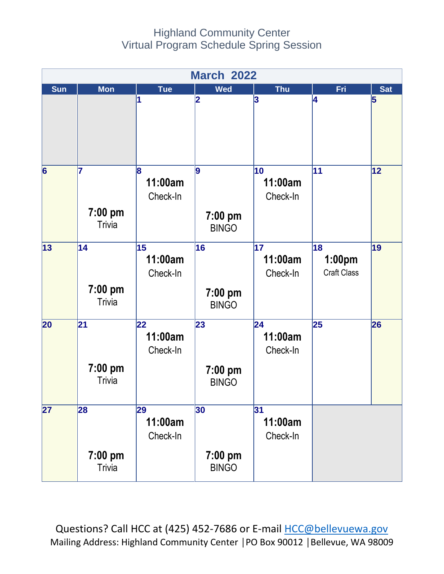## Highland Community Center Virtual Program Schedule Spring Session



Questions? Call HCC at (425) 452-7686 or E-mail [HCC@bellevuewa.gov](mailto:HCC@bellevuewa.gov) Mailing Address: Highland Community Center │PO Box 90012 │Bellevue, WA 98009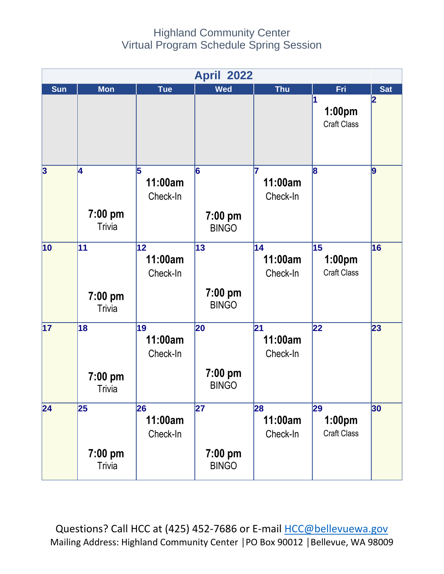## Highland Community Center Virtual Program Schedule Spring Session

| <b>April 2022</b>       |                                  |                           |                                 |                           |                                    |            |
|-------------------------|----------------------------------|---------------------------|---------------------------------|---------------------------|------------------------------------|------------|
| <b>Sun</b>              | <b>Mon</b>                       | <b>Tue</b>                | <b>Wed</b>                      | <b>Thu</b>                | Fri                                | <b>Sat</b> |
|                         |                                  |                           |                                 |                           | 1<br>1:00pm<br><b>Craft Class</b>  | 2          |
| $\overline{\mathbf{3}}$ | 4<br>7:00 pm<br>Trivia           | 5<br>11:00am<br>Check-In  | 6<br>$7:00$ pm<br><b>BINGO</b>  | 17<br>11:00am<br>Check-In | 8                                  | 9          |
| 10                      | 11<br>$7:00$ pm<br><b>Trivia</b> | 12<br>11:00am<br>Check-In | 13<br>$7:00$ pm<br><b>BINGO</b> | 14<br>11:00am<br>Check-In | 15<br>1:00pm<br><b>Craft Class</b> | 16         |
| 17                      | 18<br>7:00 pm<br><b>Trivia</b>   | 19<br>11:00am<br>Check-In | 20<br>$7:00$ pm<br><b>BINGO</b> | 21<br>11:00am<br>Check-In | 22                                 | 23         |
| 24                      | 25<br>7:00 pm<br><b>Trivia</b>   | 26<br>11:00am<br>Check-In | 27<br>$7:00$ pm<br><b>BINGO</b> | 28<br>11:00am<br>Check-In | 29<br>1:00pm<br><b>Craft Class</b> | 30         |

Questions? Call HCC at (425) 452-7686 or E-mail [HCC@bellevuewa.gov](mailto:HCC@bellevuewa.gov) Mailing Address: Highland Community Center │PO Box 90012 │Bellevue, WA 98009